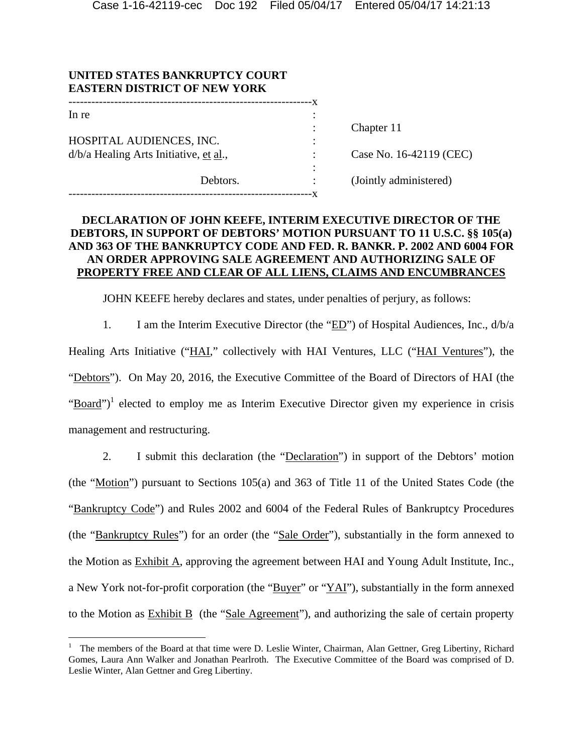| UNITED STATES BANKRUPTCY COURT<br><b>EASTERN DISTRICT OF NEW YORK</b> |          |   |                         |
|-----------------------------------------------------------------------|----------|---|-------------------------|
| In re                                                                 |          |   |                         |
|                                                                       |          |   | Chapter 11              |
| HOSPITAL AUDIENCES, INC.                                              |          | ٠ |                         |
| d/b/a Healing Arts Initiative, et al.,                                |          |   | Case No. 16-42119 (CEC) |
|                                                                       |          |   |                         |
|                                                                       | Debtors. |   | (Jointly administered)  |
|                                                                       |          |   |                         |

## **DECLARATION OF JOHN KEEFE, INTERIM EXECUTIVE DIRECTOR OF THE DEBTORS, IN SUPPORT OF DEBTORS' MOTION PURSUANT TO 11 U.S.C. §§ 105(a) AND 363 OF THE BANKRUPTCY CODE AND FED. R. BANKR. P. 2002 AND 6004 FOR AN ORDER APPROVING SALE AGREEMENT AND AUTHORIZING SALE OF PROPERTY FREE AND CLEAR OF ALL LIENS, CLAIMS AND ENCUMBRANCES**

JOHN KEEFE hereby declares and states, under penalties of perjury, as follows:

1. I am the Interim Executive Director (the "ED") of Hospital Audiences, Inc., d/b/a Healing Arts Initiative ("HAI," collectively with HAI Ventures, LLC ("HAI Ventures"), the "Debtors"). On May 20, 2016, the Executive Committee of the Board of Directors of HAI (the "Board")<sup>1</sup> elected to employ me as Interim Executive Director given my experience in crisis management and restructuring.

2. I submit this declaration (the "Declaration") in support of the Debtors' motion (the "Motion") pursuant to Sections 105(a) and 363 of Title 11 of the United States Code (the "Bankruptcy Code") and Rules 2002 and 6004 of the Federal Rules of Bankruptcy Procedures (the "Bankruptcy Rules") for an order (the "Sale Order"), substantially in the form annexed to the Motion as Exhibit A, approving the agreement between HAI and Young Adult Institute, Inc., a New York not-for-profit corporation (the "Buyer" or "YAI"), substantially in the form annexed to the Motion as  $Exhibit B$  (the "Sale Agreement"), and authorizing the sale of certain property

 $\overline{a}$ 

<sup>1</sup> The members of the Board at that time were D. Leslie Winter, Chairman, Alan Gettner, Greg Libertiny, Richard Gomes, Laura Ann Walker and Jonathan Pearlroth. The Executive Committee of the Board was comprised of D. Leslie Winter, Alan Gettner and Greg Libertiny.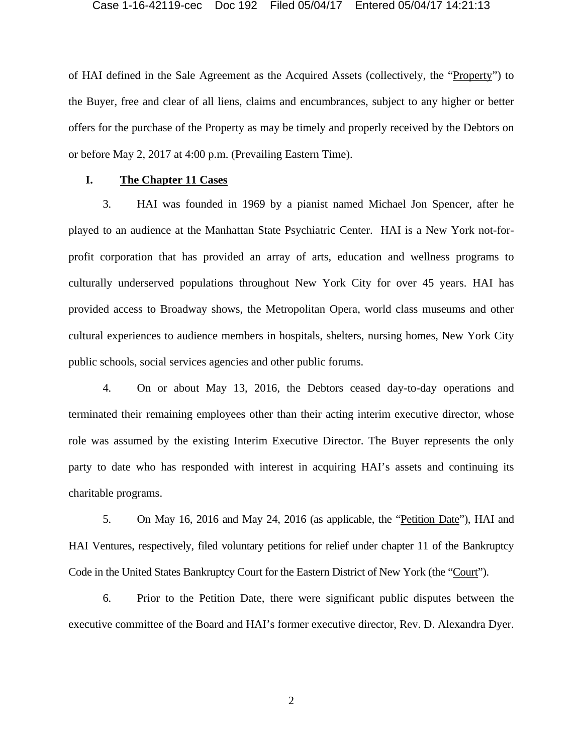of HAI defined in the Sale Agreement as the Acquired Assets (collectively, the "Property") to the Buyer, free and clear of all liens, claims and encumbrances, subject to any higher or better offers for the purchase of the Property as may be timely and properly received by the Debtors on or before May 2, 2017 at 4:00 p.m. (Prevailing Eastern Time).

## **I. The Chapter 11 Cases**

3. HAI was founded in 1969 by a pianist named Michael Jon Spencer, after he played to an audience at the Manhattan State Psychiatric Center. HAI is a New York not-forprofit corporation that has provided an array of arts, education and wellness programs to culturally underserved populations throughout New York City for over 45 years. HAI has provided access to Broadway shows, the Metropolitan Opera, world class museums and other cultural experiences to audience members in hospitals, shelters, nursing homes, New York City public schools, social services agencies and other public forums.

4. On or about May 13, 2016, the Debtors ceased day-to-day operations and terminated their remaining employees other than their acting interim executive director, whose role was assumed by the existing Interim Executive Director. The Buyer represents the only party to date who has responded with interest in acquiring HAI's assets and continuing its charitable programs.

5. On May 16, 2016 and May 24, 2016 (as applicable, the "Petition Date"), HAI and HAI Ventures, respectively, filed voluntary petitions for relief under chapter 11 of the Bankruptcy Code in the United States Bankruptcy Court for the Eastern District of New York (the "Court").

6. Prior to the Petition Date, there were significant public disputes between the executive committee of the Board and HAI's former executive director, Rev. D. Alexandra Dyer.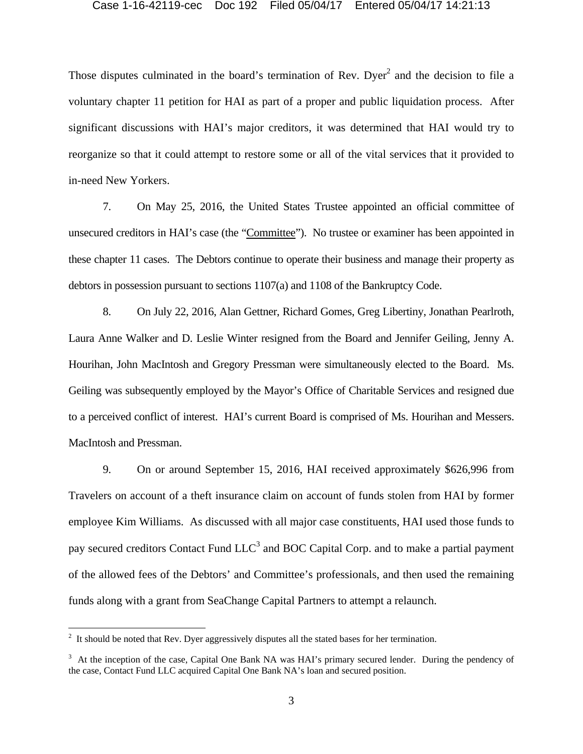Those disputes culminated in the board's termination of Rev. Dyer<sup>2</sup> and the decision to file a voluntary chapter 11 petition for HAI as part of a proper and public liquidation process. After significant discussions with HAI's major creditors, it was determined that HAI would try to reorganize so that it could attempt to restore some or all of the vital services that it provided to in-need New Yorkers.

7. On May 25, 2016, the United States Trustee appointed an official committee of unsecured creditors in HAI's case (the "Committee"). No trustee or examiner has been appointed in these chapter 11 cases. The Debtors continue to operate their business and manage their property as debtors in possession pursuant to sections 1107(a) and 1108 of the Bankruptcy Code.

8. On July 22, 2016, Alan Gettner, Richard Gomes, Greg Libertiny, Jonathan Pearlroth, Laura Anne Walker and D. Leslie Winter resigned from the Board and Jennifer Geiling, Jenny A. Hourihan, John MacIntosh and Gregory Pressman were simultaneously elected to the Board. Ms. Geiling was subsequently employed by the Mayor's Office of Charitable Services and resigned due to a perceived conflict of interest. HAI's current Board is comprised of Ms. Hourihan and Messers. MacIntosh and Pressman.

9. On or around September 15, 2016, HAI received approximately \$626,996 from Travelers on account of a theft insurance claim on account of funds stolen from HAI by former employee Kim Williams. As discussed with all major case constituents, HAI used those funds to pay secured creditors Contact Fund  $LLC<sup>3</sup>$  and BOC Capital Corp. and to make a partial payment of the allowed fees of the Debtors' and Committee's professionals, and then used the remaining funds along with a grant from SeaChange Capital Partners to attempt a relaunch.

 $\overline{a}$ 

 $2<sup>2</sup>$  It should be noted that Rev. Dyer aggressively disputes all the stated bases for her termination.

<sup>&</sup>lt;sup>3</sup> At the inception of the case, Capital One Bank NA was HAI's primary secured lender. During the pendency of the case, Contact Fund LLC acquired Capital One Bank NA's loan and secured position.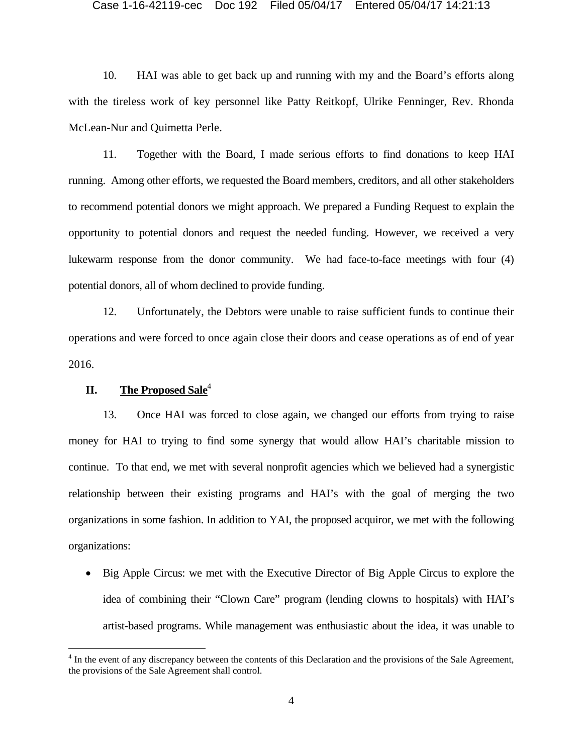10. HAI was able to get back up and running with my and the Board's efforts along with the tireless work of key personnel like Patty Reitkopf, Ulrike Fenninger, Rev. Rhonda McLean-Nur and Quimetta Perle.

11. Together with the Board, I made serious efforts to find donations to keep HAI running. Among other efforts, we requested the Board members, creditors, and all other stakeholders to recommend potential donors we might approach. We prepared a Funding Request to explain the opportunity to potential donors and request the needed funding. However, we received a very lukewarm response from the donor community. We had face-to-face meetings with four (4) potential donors, all of whom declined to provide funding.

12. Unfortunately, the Debtors were unable to raise sufficient funds to continue their operations and were forced to once again close their doors and cease operations as of end of year 2016.

# **II.** The Proposed Sale<sup>4</sup>

 $\overline{a}$ 

13. Once HAI was forced to close again, we changed our efforts from trying to raise money for HAI to trying to find some synergy that would allow HAI's charitable mission to continue. To that end, we met with several nonprofit agencies which we believed had a synergistic relationship between their existing programs and HAI's with the goal of merging the two organizations in some fashion. In addition to YAI, the proposed acquiror, we met with the following organizations:

 Big Apple Circus: we met with the Executive Director of Big Apple Circus to explore the idea of combining their "Clown Care" program (lending clowns to hospitals) with HAI's artist-based programs. While management was enthusiastic about the idea, it was unable to

<sup>&</sup>lt;sup>4</sup> In the event of any discrepancy between the contents of this Declaration and the provisions of the Sale Agreement, the provisions of the Sale Agreement shall control.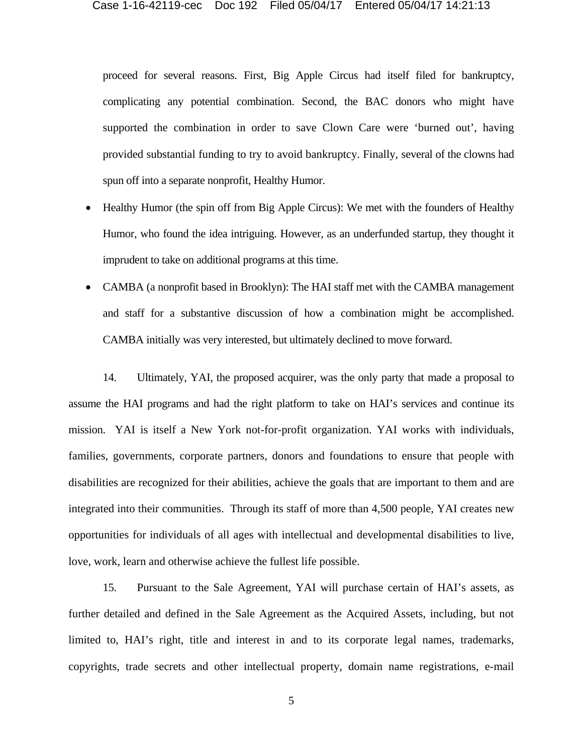proceed for several reasons. First, Big Apple Circus had itself filed for bankruptcy, complicating any potential combination. Second, the BAC donors who might have supported the combination in order to save Clown Care were 'burned out', having provided substantial funding to try to avoid bankruptcy. Finally, several of the clowns had spun off into a separate nonprofit, Healthy Humor.

- Healthy Humor (the spin off from Big Apple Circus): We met with the founders of Healthy Humor, who found the idea intriguing. However, as an underfunded startup, they thought it imprudent to take on additional programs at this time.
- CAMBA (a nonprofit based in Brooklyn): The HAI staff met with the CAMBA management and staff for a substantive discussion of how a combination might be accomplished. CAMBA initially was very interested, but ultimately declined to move forward.

14. Ultimately, YAI, the proposed acquirer, was the only party that made a proposal to assume the HAI programs and had the right platform to take on HAI's services and continue its mission. YAI is itself a New York not-for-profit organization. YAI works with individuals, families, governments, corporate partners, donors and foundations to ensure that people with disabilities are recognized for their abilities, achieve the goals that are important to them and are integrated into their communities. Through its staff of more than 4,500 people, YAI creates new opportunities for individuals of all ages with intellectual and developmental disabilities to live, love, work, learn and otherwise achieve the fullest life possible.

15. Pursuant to the Sale Agreement, YAI will purchase certain of HAI's assets, as further detailed and defined in the Sale Agreement as the Acquired Assets, including, but not limited to, HAI's right, title and interest in and to its corporate legal names, trademarks, copyrights, trade secrets and other intellectual property, domain name registrations, e-mail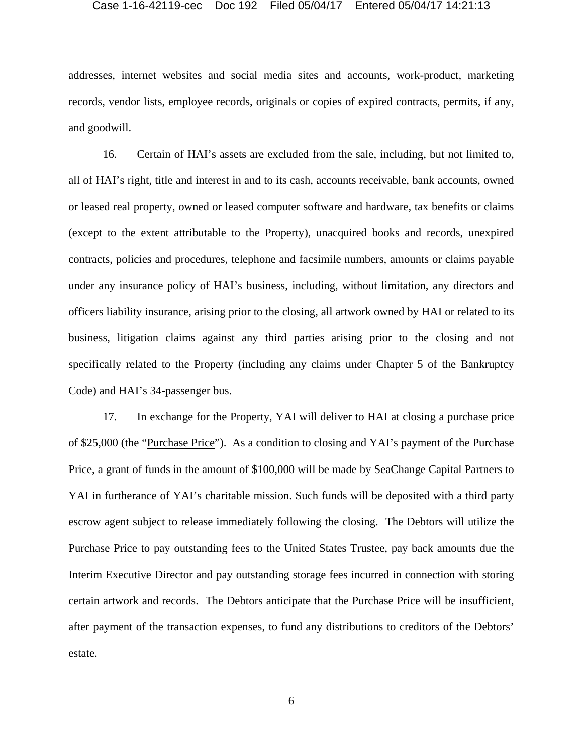addresses, internet websites and social media sites and accounts, work-product, marketing records, vendor lists, employee records, originals or copies of expired contracts, permits, if any, and goodwill.

16. Certain of HAI's assets are excluded from the sale, including, but not limited to, all of HAI's right, title and interest in and to its cash, accounts receivable, bank accounts, owned or leased real property, owned or leased computer software and hardware, tax benefits or claims (except to the extent attributable to the Property), unacquired books and records, unexpired contracts, policies and procedures, telephone and facsimile numbers, amounts or claims payable under any insurance policy of HAI's business, including, without limitation, any directors and officers liability insurance, arising prior to the closing, all artwork owned by HAI or related to its business, litigation claims against any third parties arising prior to the closing and not specifically related to the Property (including any claims under Chapter 5 of the Bankruptcy Code) and HAI's 34-passenger bus.

17. In exchange for the Property, YAI will deliver to HAI at closing a purchase price of \$25,000 (the "Purchase Price"). As a condition to closing and YAI's payment of the Purchase Price, a grant of funds in the amount of \$100,000 will be made by SeaChange Capital Partners to YAI in furtherance of YAI's charitable mission. Such funds will be deposited with a third party escrow agent subject to release immediately following the closing. The Debtors will utilize the Purchase Price to pay outstanding fees to the United States Trustee, pay back amounts due the Interim Executive Director and pay outstanding storage fees incurred in connection with storing certain artwork and records. The Debtors anticipate that the Purchase Price will be insufficient, after payment of the transaction expenses, to fund any distributions to creditors of the Debtors' estate.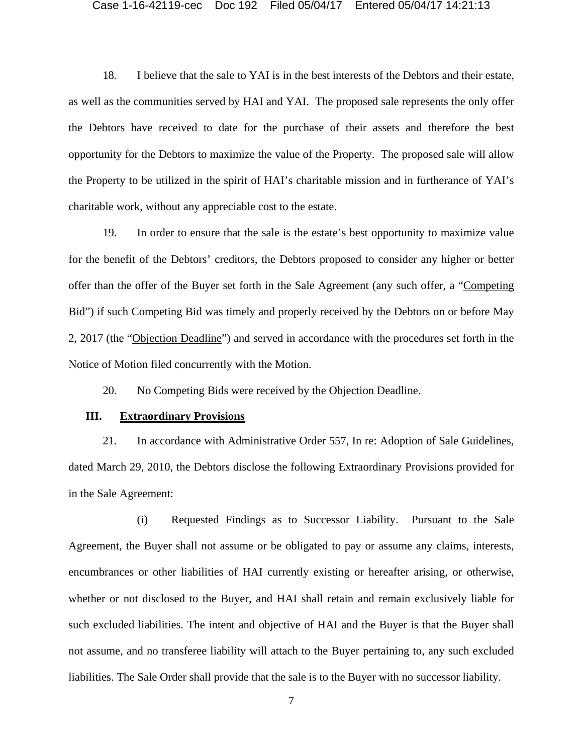18. I believe that the sale to YAI is in the best interests of the Debtors and their estate, as well as the communities served by HAI and YAI. The proposed sale represents the only offer the Debtors have received to date for the purchase of their assets and therefore the best opportunity for the Debtors to maximize the value of the Property. The proposed sale will allow the Property to be utilized in the spirit of HAI's charitable mission and in furtherance of YAI's charitable work, without any appreciable cost to the estate.

19. In order to ensure that the sale is the estate's best opportunity to maximize value for the benefit of the Debtors' creditors, the Debtors proposed to consider any higher or better offer than the offer of the Buyer set forth in the Sale Agreement (any such offer, a "Competing Bid") if such Competing Bid was timely and properly received by the Debtors on or before May 2, 2017 (the "Objection Deadline") and served in accordance with the procedures set forth in the Notice of Motion filed concurrently with the Motion.

20. No Competing Bids were received by the Objection Deadline.

## **III. Extraordinary Provisions**

21. In accordance with Administrative Order 557, In re: Adoption of Sale Guidelines, dated March 29, 2010, the Debtors disclose the following Extraordinary Provisions provided for in the Sale Agreement:

(i) Requested Findings as to Successor Liability. Pursuant to the Sale Agreement, the Buyer shall not assume or be obligated to pay or assume any claims, interests, encumbrances or other liabilities of HAI currently existing or hereafter arising, or otherwise, whether or not disclosed to the Buyer, and HAI shall retain and remain exclusively liable for such excluded liabilities. The intent and objective of HAI and the Buyer is that the Buyer shall not assume, and no transferee liability will attach to the Buyer pertaining to, any such excluded liabilities. The Sale Order shall provide that the sale is to the Buyer with no successor liability.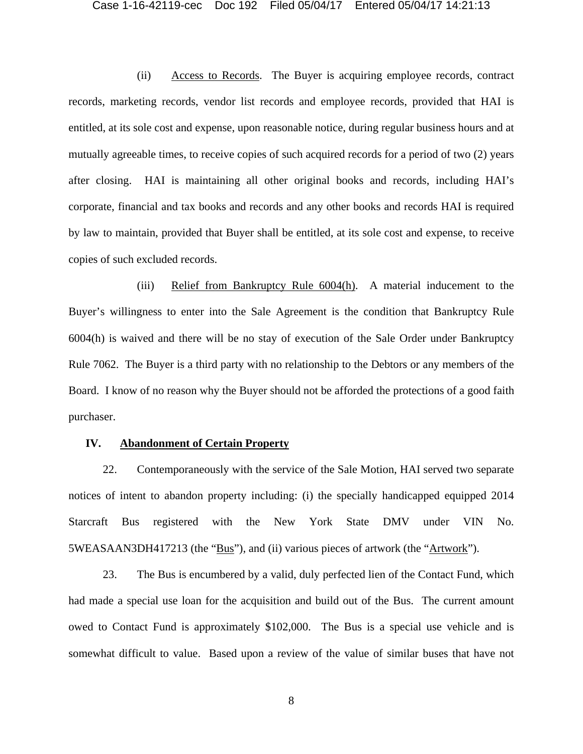(ii) Access to Records. The Buyer is acquiring employee records, contract records, marketing records, vendor list records and employee records, provided that HAI is entitled, at its sole cost and expense, upon reasonable notice, during regular business hours and at mutually agreeable times, to receive copies of such acquired records for a period of two (2) years after closing. HAI is maintaining all other original books and records, including HAI's corporate, financial and tax books and records and any other books and records HAI is required by law to maintain, provided that Buyer shall be entitled, at its sole cost and expense, to receive copies of such excluded records.

(iii) Relief from Bankruptcy Rule 6004(h). A material inducement to the Buyer's willingness to enter into the Sale Agreement is the condition that Bankruptcy Rule 6004(h) is waived and there will be no stay of execution of the Sale Order under Bankruptcy Rule 7062. The Buyer is a third party with no relationship to the Debtors or any members of the Board. I know of no reason why the Buyer should not be afforded the protections of a good faith purchaser.

## **IV. Abandonment of Certain Property**

22. Contemporaneously with the service of the Sale Motion, HAI served two separate notices of intent to abandon property including: (i) the specially handicapped equipped 2014 Starcraft Bus registered with the New York State DMV under VIN No. 5WEASAAN3DH417213 (the "Bus"), and (ii) various pieces of artwork (the "Artwork").

23. The Bus is encumbered by a valid, duly perfected lien of the Contact Fund, which had made a special use loan for the acquisition and build out of the Bus. The current amount owed to Contact Fund is approximately \$102,000. The Bus is a special use vehicle and is somewhat difficult to value. Based upon a review of the value of similar buses that have not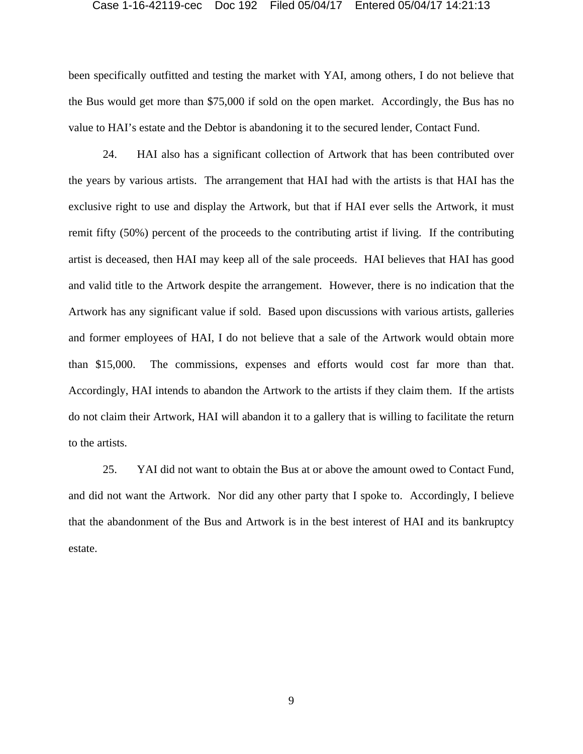been specifically outfitted and testing the market with YAI, among others, I do not believe that the Bus would get more than \$75,000 if sold on the open market. Accordingly, the Bus has no value to HAI's estate and the Debtor is abandoning it to the secured lender, Contact Fund.

24. HAI also has a significant collection of Artwork that has been contributed over the years by various artists. The arrangement that HAI had with the artists is that HAI has the exclusive right to use and display the Artwork, but that if HAI ever sells the Artwork, it must remit fifty (50%) percent of the proceeds to the contributing artist if living. If the contributing artist is deceased, then HAI may keep all of the sale proceeds. HAI believes that HAI has good and valid title to the Artwork despite the arrangement. However, there is no indication that the Artwork has any significant value if sold. Based upon discussions with various artists, galleries and former employees of HAI, I do not believe that a sale of the Artwork would obtain more than \$15,000. The commissions, expenses and efforts would cost far more than that. Accordingly, HAI intends to abandon the Artwork to the artists if they claim them. If the artists do not claim their Artwork, HAI will abandon it to a gallery that is willing to facilitate the return to the artists.

25. YAI did not want to obtain the Bus at or above the amount owed to Contact Fund, and did not want the Artwork. Nor did any other party that I spoke to. Accordingly, I believe that the abandonment of the Bus and Artwork is in the best interest of HAI and its bankruptcy estate.